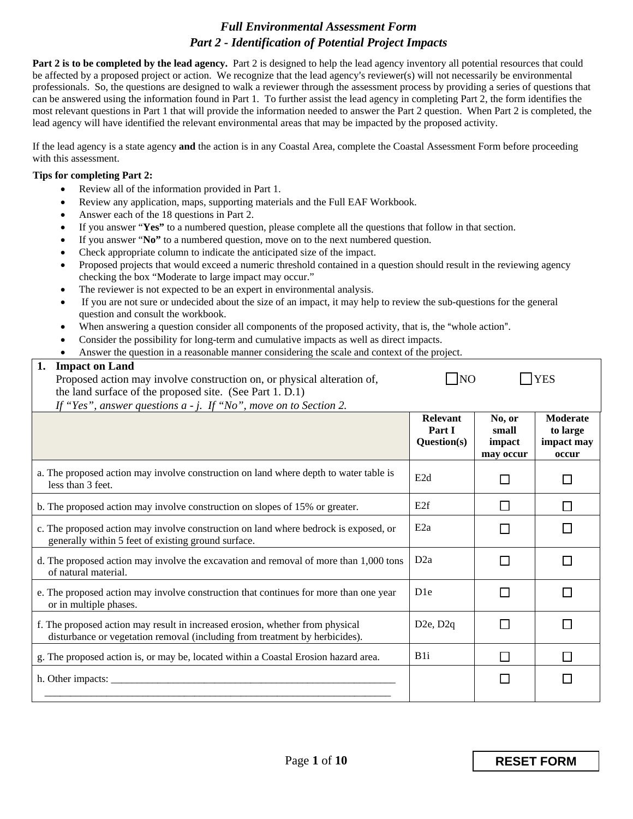## *Full Environmental Assessment Form Part 2 - Identification of Potential Project Impacts*

**Part 2 is to be completed by the lead agency.** Part 2 is designed to help the lead agency inventory all potential resources that could be affected by a proposed project or action. We recognize that the lead agency's reviewer(s) will not necessarily be environmental professionals. So, the questions are designed to walk a reviewer through the assessment process by providing a series of questions that can be answered using the information found in Part 1. To further assist the lead agency in completing Part 2, the form identifies the most relevant questions in Part 1 that will provide the information needed to answer the Part 2 question. When Part 2 is completed, the lead agency will have identified the relevant environmental areas that may be impacted by the proposed activity.

If the lead agency is a state agency **and** the action is in any Coastal Area, complete the Coastal Assessment Form before proceeding with this assessment.

## **Tips for completing Part 2:**

- Review all of the information provided in Part 1.
- Review any application, maps, supporting materials and the Full EAF Workbook.
- Answer each of the 18 questions in Part 2.
- If you answer "**Yes"** to a numbered question, please complete all the questions that follow in that section.
- If you answer "**No"** to a numbered question, move on to the next numbered question.
- Check appropriate column to indicate the anticipated size of the impact.
- Proposed projects that would exceed a numeric threshold contained in a question should result in the reviewing agency checking the box "Moderate to large impact may occur."
- The reviewer is not expected to be an expert in environmental analysis.
- If you are not sure or undecided about the size of an impact, it may help to review the sub-questions for the general question and consult the workbook.
- When answering a question consider all components of the proposed activity, that is, the "whole action".
- Consider the possibility for long-term and cumulative impacts as well as direct impacts.
- Answer the question in a reasonable manner considering the scale and context of the project.

## **1. Impact on Land**

| Proposed action may involve construction on, or physical alteration of,<br>the land surface of the proposed site. (See Part 1. D.1)<br>If "Yes", answer questions $a - j$ . If "No", move on to Section 2. | <b>YES</b><br><b>INO</b>                 |                                        |                                             |
|------------------------------------------------------------------------------------------------------------------------------------------------------------------------------------------------------------|------------------------------------------|----------------------------------------|---------------------------------------------|
|                                                                                                                                                                                                            | <b>Relevant</b><br>Part I<br>Question(s) | No, or<br>small<br>impact<br>may occur | Moderate<br>to large<br>impact may<br>occur |
| a. The proposed action may involve construction on land where depth to water table is<br>less than 3 feet.                                                                                                 | E <sub>2d</sub>                          |                                        |                                             |
| b. The proposed action may involve construction on slopes of 15% or greater.                                                                                                                               | E2f                                      |                                        |                                             |
| c. The proposed action may involve construction on land where bedrock is exposed, or<br>generally within 5 feet of existing ground surface.                                                                | E <sub>2</sub> a                         |                                        |                                             |
| d. The proposed action may involve the excavation and removal of more than 1,000 tons<br>of natural material.                                                                                              | D2a                                      |                                        |                                             |
| e. The proposed action may involve construction that continues for more than one year<br>or in multiple phases.                                                                                            | D <sub>1</sub> e                         |                                        |                                             |
| f. The proposed action may result in increased erosion, whether from physical<br>disturbance or vegetation removal (including from treatment by herbicides).                                               | D2e, D2q                                 |                                        |                                             |
| g. The proposed action is, or may be, located within a Coastal Erosion hazard area.                                                                                                                        | B <sub>1</sub>                           |                                        |                                             |
|                                                                                                                                                                                                            |                                          | $\mathsf{L}$                           |                                             |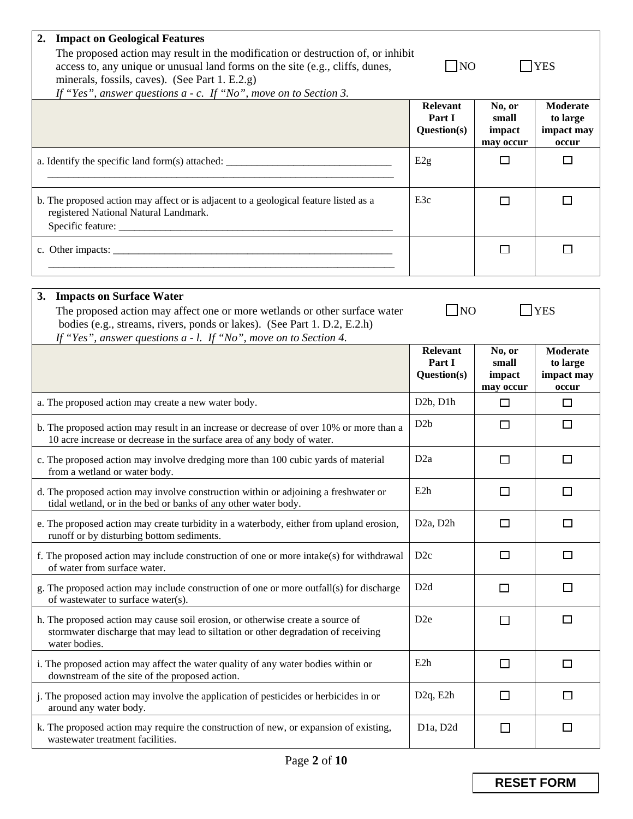| 2.<br><b>Impact on Geological Features</b>                                                                                                                                                                                                                                                   |                                          |                                        |                                             |
|----------------------------------------------------------------------------------------------------------------------------------------------------------------------------------------------------------------------------------------------------------------------------------------------|------------------------------------------|----------------------------------------|---------------------------------------------|
| The proposed action may result in the modification or destruction of, or inhibit<br>access to, any unique or unusual land forms on the site (e.g., cliffs, dunes,<br>minerals, fossils, caves). (See Part 1. E.2.g)<br>If "Yes", answer questions $a$ - $c$ . If "No", move on to Section 3. | $\Box$ NO                                |                                        | <b>YES</b>                                  |
|                                                                                                                                                                                                                                                                                              | Relevant<br>Part I<br>Question(s)        | No, or<br>small<br>impact<br>may occur | Moderate<br>to large<br>impact may<br>occur |
| a. Identify the specific land form(s) attached: _________________________________                                                                                                                                                                                                            | E2g                                      | □                                      | □                                           |
| b. The proposed action may affect or is adjacent to a geological feature listed as a<br>registered National Natural Landmark.                                                                                                                                                                | E3c                                      | П                                      | □                                           |
|                                                                                                                                                                                                                                                                                              |                                          | □                                      | П                                           |
|                                                                                                                                                                                                                                                                                              |                                          |                                        |                                             |
| 3.<br><b>Impacts on Surface Water</b><br>The proposed action may affect one or more wetlands or other surface water<br>bodies (e.g., streams, rivers, ponds or lakes). (See Part 1. D.2, E.2.h)<br>If "Yes", answer questions $a - l$ . If "No", move on to Section 4.                       | $\Box$ NO                                |                                        | <b>YES</b>                                  |
|                                                                                                                                                                                                                                                                                              | <b>Relevant</b><br>Part I<br>Question(s) | No, or<br>small<br>impact<br>may occur | Moderate<br>to large<br>impact may<br>occur |
| a. The proposed action may create a new water body.                                                                                                                                                                                                                                          | D <sub>2</sub> b, D <sub>1</sub> h       | □                                      | □                                           |
| b. The proposed action may result in an increase or decrease of over 10% or more than a<br>10 acre increase or decrease in the surface area of any body of water.                                                                                                                            | D2b                                      | П                                      | П                                           |
| c. The proposed action may involve dredging more than 100 cubic yards of material<br>from a wetland or water body.                                                                                                                                                                           | D <sub>2</sub> a                         | □                                      | $\Box$                                      |
| d. The proposed action may involve construction within or adjoining a freshwater or<br>tidal wetland, or in the bed or banks of any other water body.                                                                                                                                        | E <sub>2</sub> h                         | $\Box$                                 | $\Box$                                      |
| e. The proposed action may create turbidity in a waterbody, either from upland erosion,<br>runoff or by disturbing bottom sediments.                                                                                                                                                         | D <sub>2</sub> a, D <sub>2</sub> h       | $\Box$                                 | □                                           |
| f. The proposed action may include construction of one or more intake(s) for withdrawal<br>of water from surface water.                                                                                                                                                                      | D <sub>2c</sub>                          | □                                      | $\Box$                                      |
| g. The proposed action may include construction of one or more outfall(s) for discharge<br>of wastewater to surface water(s).                                                                                                                                                                | D <sub>2</sub> d                         | $\Box$                                 | □                                           |
| h. The proposed action may cause soil erosion, or otherwise create a source of<br>stormwater discharge that may lead to siltation or other degradation of receiving<br>water bodies.                                                                                                         | D <sub>2e</sub>                          | $\Box$                                 | □                                           |
| i. The proposed action may affect the water quality of any water bodies within or<br>downstream of the site of the proposed action.                                                                                                                                                          | E <sub>2</sub> h                         | □                                      | $\Box$                                      |
| j. The proposed action may involve the application of pesticides or herbicides in or<br>around any water body.                                                                                                                                                                               | $D2q$ , $E2h$                            | $\Box$                                 | □                                           |
| k. The proposed action may require the construction of new, or expansion of existing,<br>wastewater treatment facilities.                                                                                                                                                                    | D1a, D2d                                 | □                                      | $\Box$                                      |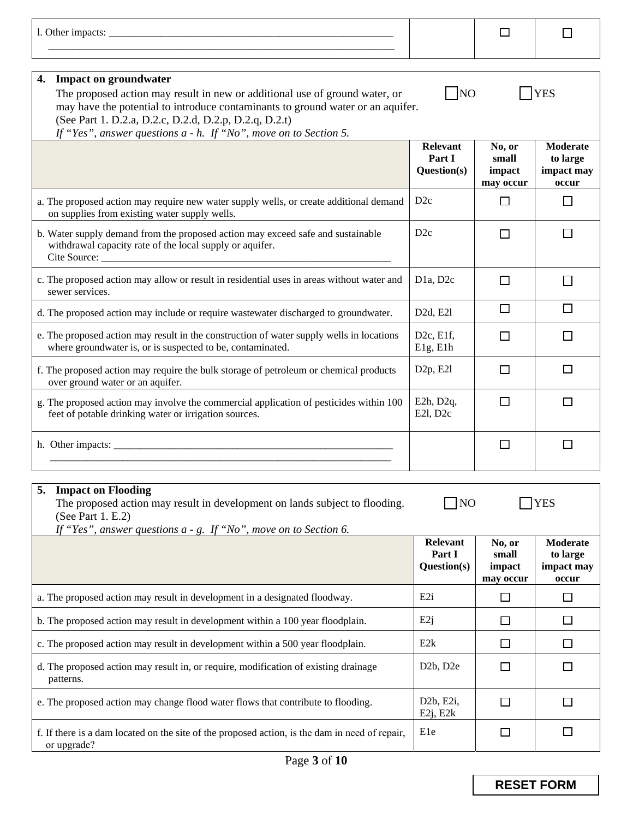|                                                                                                                                                                                                                                                                                                                                                                      |                                                 | □                                      | $\mathbb{R}^n$                              |
|----------------------------------------------------------------------------------------------------------------------------------------------------------------------------------------------------------------------------------------------------------------------------------------------------------------------------------------------------------------------|-------------------------------------------------|----------------------------------------|---------------------------------------------|
| 4.<br><b>Impact on groundwater</b><br>N <sub>O</sub><br><b>YES</b><br>The proposed action may result in new or additional use of ground water, or<br>may have the potential to introduce contaminants to ground water or an aquifer.<br>(See Part 1. D.2.a, D.2.c, D.2.d, D.2.p, D.2.q, D.2.t)<br>If "Yes", answer questions $a$ - h. If "No", move on to Section 5. |                                                 |                                        |                                             |
|                                                                                                                                                                                                                                                                                                                                                                      | <b>Relevant</b><br>Part I<br>Question(s)        | No, or<br>small<br>impact<br>may occur | Moderate<br>to large<br>impact may<br>occur |
| a. The proposed action may require new water supply wells, or create additional demand<br>on supplies from existing water supply wells.                                                                                                                                                                                                                              | D2c                                             | П                                      | ΙI                                          |
| b. Water supply demand from the proposed action may exceed safe and sustainable<br>withdrawal capacity rate of the local supply or aquifer.                                                                                                                                                                                                                          | D2c                                             | □                                      | П                                           |
| c. The proposed action may allow or result in residential uses in areas without water and<br>sewer services.                                                                                                                                                                                                                                                         | D <sub>1</sub> a, D <sub>2c</sub>               | П                                      | □                                           |
| d. The proposed action may include or require wastewater discharged to groundwater.                                                                                                                                                                                                                                                                                  | D <sub>2</sub> d, E <sub>21</sub>               | □                                      | $\Box$                                      |
| e. The proposed action may result in the construction of water supply wells in locations<br>where groundwater is, or is suspected to be, contaminated.                                                                                                                                                                                                               | D <sub>2c</sub> , E <sub>1f</sub> ,<br>E1g, E1h | П                                      | П                                           |
| f. The proposed action may require the bulk storage of petroleum or chemical products<br>over ground water or an aquifer.                                                                                                                                                                                                                                            | D <sub>2p</sub> , E <sub>2l</sub>               | $\Box$                                 | □                                           |
| g. The proposed action may involve the commercial application of pesticides within 100<br>feet of potable drinking water or irrigation sources.                                                                                                                                                                                                                      | E2h, D2q,<br>E21, D <sub>2c</sub>               | П                                      | П                                           |
|                                                                                                                                                                                                                                                                                                                                                                      |                                                 | □                                      | П                                           |
| 5. Impact on Flooding                                                                                                                                                                                                                                                                                                                                                |                                                 |                                        |                                             |

| The proposed action may result in development on lands subject to flooding.<br>(See Part 1. E.2)<br>If "Yes", answer questions $a - g$ . If "No", move on to Section 6. | $\neg$ NO<br><b>YES</b>                  |                                        |                                                    |
|-------------------------------------------------------------------------------------------------------------------------------------------------------------------------|------------------------------------------|----------------------------------------|----------------------------------------------------|
|                                                                                                                                                                         | <b>Relevant</b><br>Part I<br>Question(s) | No, or<br>small<br>impact<br>may occur | <b>Moderate</b><br>to large<br>impact may<br>occur |
| a. The proposed action may result in development in a designated floodway.                                                                                              | E2i                                      |                                        | □                                                  |
| b. The proposed action may result in development within a 100 year floodplain.                                                                                          | E2j                                      |                                        | □                                                  |
| c. The proposed action may result in development within a 500 year floodplain.                                                                                          | E2k                                      | $\Box$                                 | □                                                  |
| d. The proposed action may result in, or require, modification of existing drainage<br>patterns.                                                                        | D2b, D2e                                 |                                        | □                                                  |
| e. The proposed action may change flood water flows that contribute to flooding.                                                                                        | D2b, E2i,<br>E2j, E2k                    |                                        | П                                                  |
| f. If there is a dam located on the site of the proposed action, is the dam in need of repair,<br>or upgrade?                                                           | E1e                                      |                                        | □                                                  |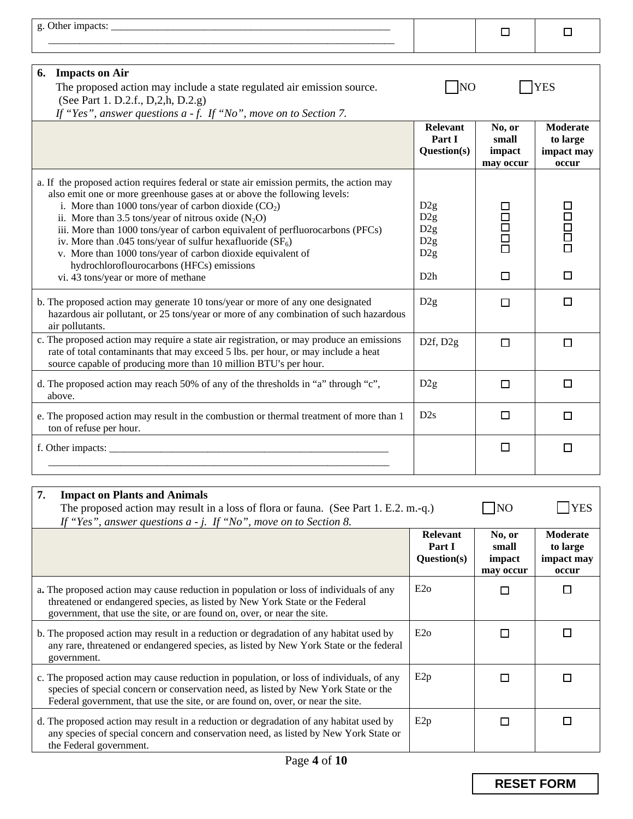|                                                                                                                                                                                                                                                                                                                                                                                                                                                                                                                                                                                            |                                                    | □                                      | $\Box$                                      |
|--------------------------------------------------------------------------------------------------------------------------------------------------------------------------------------------------------------------------------------------------------------------------------------------------------------------------------------------------------------------------------------------------------------------------------------------------------------------------------------------------------------------------------------------------------------------------------------------|----------------------------------------------------|----------------------------------------|---------------------------------------------|
| <b>Impacts on Air</b><br>6.<br>The proposed action may include a state regulated air emission source.<br>(See Part 1. D.2.f., D,2,h, D.2.g)<br>If "Yes", answer questions $a - f$ . If "No", move on to Section 7.                                                                                                                                                                                                                                                                                                                                                                         | <b>NO</b>                                          |                                        | <b>YES</b>                                  |
|                                                                                                                                                                                                                                                                                                                                                                                                                                                                                                                                                                                            | <b>Relevant</b><br>Part I<br>Question(s)           | No, or<br>small<br>impact<br>may occur | Moderate<br>to large<br>impact may<br>occur |
| a. If the proposed action requires federal or state air emission permits, the action may<br>also emit one or more greenhouse gases at or above the following levels:<br>i. More than 1000 tons/year of carbon dioxide $(CO2)$<br>ii. More than 3.5 tons/year of nitrous oxide $(N_2O)$<br>iii. More than 1000 tons/year of carbon equivalent of perfluorocarbons (PFCs)<br>iv. More than .045 tons/year of sulfur hexafluoride $(SF_6)$<br>v. More than 1000 tons/year of carbon dioxide equivalent of<br>hydrochloroflourocarbons (HFCs) emissions<br>vi. 43 tons/year or more of methane | D2g<br>D2g<br>D <sub>2g</sub><br>D2g<br>D2g<br>D2h | $\Box$<br>日日日<br>$\Box$                | 日日<br>$\Box$                                |
| b. The proposed action may generate 10 tons/year or more of any one designated<br>hazardous air pollutant, or 25 tons/year or more of any combination of such hazardous<br>air pollutants.                                                                                                                                                                                                                                                                                                                                                                                                 | D2g                                                | $\Box$                                 | $\Box$                                      |
| c. The proposed action may require a state air registration, or may produce an emissions<br>rate of total contaminants that may exceed 5 lbs. per hour, or may include a heat<br>source capable of producing more than 10 million BTU's per hour.                                                                                                                                                                                                                                                                                                                                          | D <sub>2f</sub> , $D2g$                            | $\Box$                                 | $\Box$                                      |
| d. The proposed action may reach 50% of any of the thresholds in "a" through "c",<br>above.                                                                                                                                                                                                                                                                                                                                                                                                                                                                                                | D2g                                                | $\Box$                                 | $\Box$                                      |
| e. The proposed action may result in the combustion or thermal treatment of more than 1<br>ton of refuse per hour.                                                                                                                                                                                                                                                                                                                                                                                                                                                                         | D2s                                                | $\Box$                                 | $\Box$                                      |
| f. Other impacts:                                                                                                                                                                                                                                                                                                                                                                                                                                                                                                                                                                          |                                                    | □                                      | □                                           |
| 7.<br><b>Impact on Plants and Animals</b><br>The proposed action may result in a loss of flora or fauna. (See Part 1. E.2. m.-q.)<br>If "Yes", answer questions $a - j$ . If "No", move on to Section 8.                                                                                                                                                                                                                                                                                                                                                                                   |                                                    | $\neg$ NO                              | <b>YES</b>                                  |
|                                                                                                                                                                                                                                                                                                                                                                                                                                                                                                                                                                                            | Relevant<br>Part I<br>Question(s)                  | No, or<br>small<br>impact              | Moderate<br>to large<br>impact may          |

|                                                                                                                                                                                                                                                                    |     | may occur | occur |
|--------------------------------------------------------------------------------------------------------------------------------------------------------------------------------------------------------------------------------------------------------------------|-----|-----------|-------|
| a. The proposed action may cause reduction in population or loss of individuals of any<br>threatened or endangered species, as listed by New York State or the Federal<br>government, that use the site, or are found on, over, or near the site.                  | E2o |           |       |
| b. The proposed action may result in a reduction or degradation of any habitat used by<br>any rare, threatened or endangered species, as listed by New York State or the federal<br>government.                                                                    | E2o |           |       |
| c. The proposed action may cause reduction in population, or loss of individuals, of any<br>species of special concern or conservation need, as listed by New York State or the<br>Federal government, that use the site, or are found on, over, or near the site. | E2p |           |       |
| d. The proposed action may result in a reduction or degradation of any habitat used by<br>any species of special concern and conservation need, as listed by New York State or<br>the Federal government.                                                          | E2p |           |       |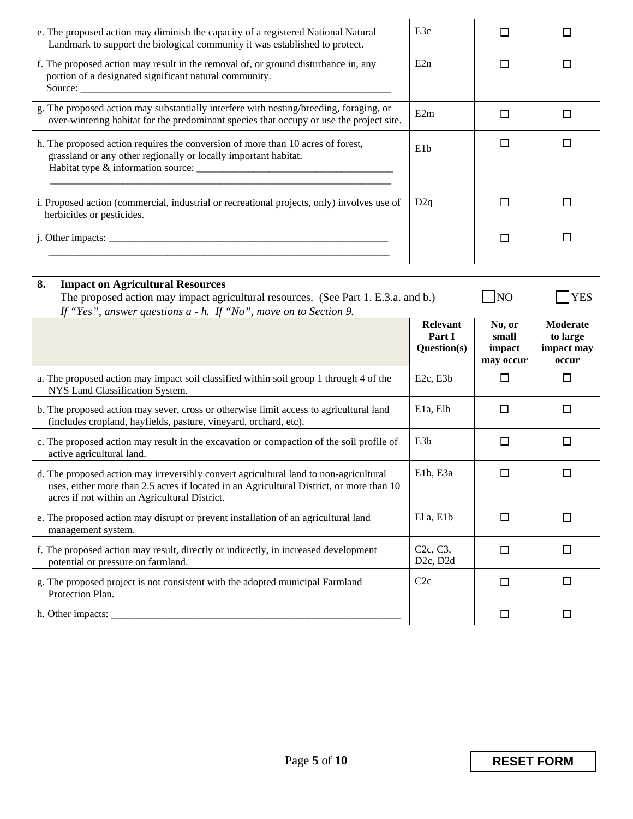| e. The proposed action may diminish the capacity of a registered National Natural<br>Landmark to support the biological community it was established to protect.                         | E3c             |  |
|------------------------------------------------------------------------------------------------------------------------------------------------------------------------------------------|-----------------|--|
| f. The proposed action may result in the removal of, or ground disturbance in, any<br>portion of a designated significant natural community.                                             | E2n             |  |
| g. The proposed action may substantially interfere with nesting/breeding, foraging, or<br>over-wintering habitat for the predominant species that occupy or use the project site.        | E2m             |  |
| h. The proposed action requires the conversion of more than 10 acres of forest,<br>grassland or any other regionally or locally important habitat.<br>Habitat type & information source: | E1 <sub>b</sub> |  |
| i. Proposed action (commercial, industrial or recreational projects, only) involves use of<br>herbicides or pesticides.                                                                  | D2q             |  |
|                                                                                                                                                                                          |                 |  |

| 8.<br><b>Impact on Agricultural Resources</b><br>The proposed action may impact agricultural resources. (See Part 1, E.3.a. and b.)                                                                                                |                                                                         | NO                                     | <b>YES</b>                                  |
|------------------------------------------------------------------------------------------------------------------------------------------------------------------------------------------------------------------------------------|-------------------------------------------------------------------------|----------------------------------------|---------------------------------------------|
| If "Yes", answer questions $a - h$ . If "No", move on to Section 9.                                                                                                                                                                |                                                                         |                                        |                                             |
|                                                                                                                                                                                                                                    | <b>Relevant</b><br>Part I<br>Question(s)                                | No, or<br>small<br>impact<br>may occur | Moderate<br>to large<br>impact may<br>occur |
| a. The proposed action may impact soil classified within soil group 1 through 4 of the<br>NYS Land Classification System.                                                                                                          | E2c, E3b                                                                | П                                      | □                                           |
| b. The proposed action may sever, cross or otherwise limit access to agricultural land<br>(includes cropland, hayfields, pasture, vineyard, orchard, etc).                                                                         | E1a, Elb                                                                | П                                      | $\Box$                                      |
| c. The proposed action may result in the excavation or compaction of the soil profile of<br>active agricultural land.                                                                                                              | E <sub>3</sub> b                                                        | П                                      | □                                           |
| d. The proposed action may irreversibly convert agricultural land to non-agricultural<br>uses, either more than 2.5 acres if located in an Agricultural District, or more than 10<br>acres if not within an Agricultural District. | E1b, E3a                                                                | П                                      | П                                           |
| e. The proposed action may disrupt or prevent installation of an agricultural land<br>management system.                                                                                                                           | El a, E1b                                                               | П                                      | □                                           |
| f. The proposed action may result, directly or indirectly, in increased development<br>potential or pressure on farmland.                                                                                                          | C <sub>2</sub> c, C <sub>3</sub> ,<br>D <sub>2c</sub> , D <sub>2d</sub> | П                                      | П                                           |
| g. The proposed project is not consistent with the adopted municipal Farmland<br>Protection Plan.                                                                                                                                  | C2c                                                                     | П                                      | □                                           |
| h. Other impacts:                                                                                                                                                                                                                  |                                                                         | $\Box$                                 | П                                           |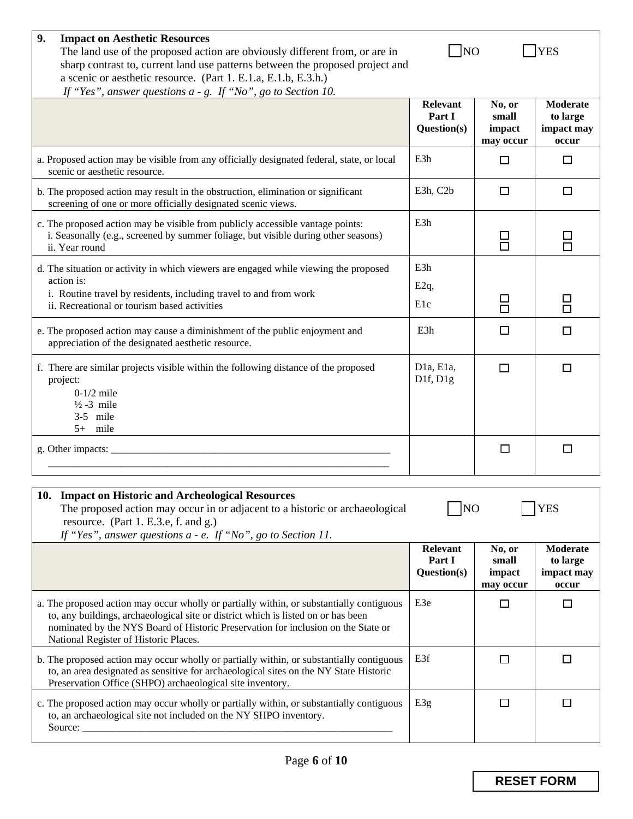| 9.<br><b>Impact on Aesthetic Resources</b><br>The land use of the proposed action are obviously different from, or are in<br>sharp contrast to, current land use patterns between the proposed project and<br>a scenic or aesthetic resource. (Part 1. E.1.a, E.1.b, E.3.h.)<br>If "Yes", answer questions $a - g$ . If "No", go to Section 10. | <b>NO</b><br><b>YES</b>                  |                                        |                                                    |
|-------------------------------------------------------------------------------------------------------------------------------------------------------------------------------------------------------------------------------------------------------------------------------------------------------------------------------------------------|------------------------------------------|----------------------------------------|----------------------------------------------------|
|                                                                                                                                                                                                                                                                                                                                                 | <b>Relevant</b><br>Part I<br>Question(s) | No, or<br>small<br>impact<br>may occur | <b>Moderate</b><br>to large<br>impact may<br>occur |
| a. Proposed action may be visible from any officially designated federal, state, or local<br>scenic or aesthetic resource.                                                                                                                                                                                                                      | E3h                                      | □                                      | □                                                  |
| b. The proposed action may result in the obstruction, elimination or significant<br>screening of one or more officially designated scenic views.                                                                                                                                                                                                | E3h, C2b                                 | $\Box$                                 | $\Box$                                             |
| c. The proposed action may be visible from publicly accessible vantage points:<br>i. Seasonally (e.g., screened by summer foliage, but visible during other seasons)<br>ii. Year round                                                                                                                                                          | E3h                                      | $\overline{\Box}$                      | 日                                                  |
| d. The situation or activity in which viewers are engaged while viewing the proposed<br>action is:<br>i. Routine travel by residents, including travel to and from work<br>ii. Recreational or tourism based activities                                                                                                                         | E3h<br>$E2q$ ,<br>E <sub>1</sub> c       |                                        |                                                    |
| e. The proposed action may cause a diminishment of the public enjoyment and<br>appreciation of the designated aesthetic resource.                                                                                                                                                                                                               | E3h                                      | П                                      | ΙI                                                 |
| f. There are similar projects visible within the following distance of the proposed<br>project:<br>$0-1/2$ mile<br>$\frac{1}{2}$ -3 mile<br>3-5 mile<br>$5+$ mile                                                                                                                                                                               | D1a, E1a,<br>D1f, D1g                    | П                                      | П                                                  |
| g. Other impacts: $\frac{1}{\sqrt{1-\frac{1}{2}} \cdot \frac{1}{2}}$                                                                                                                                                                                                                                                                            |                                          | П                                      | $\Box$                                             |
| 10. Impact on Historic and Archeological Resources<br>The proposed action may occur in or adjacent to a historic or archaeological<br>resource. (Part 1. E.3.e, f. and g.)<br>If "Yes", answer questions $a$ - e. If "No", go to Section 11.                                                                                                    | N <sub>O</sub>                           |                                        | <b>YES</b>                                         |
|                                                                                                                                                                                                                                                                                                                                                 | <b>Relevant</b><br>Part I<br>Question(s) | No, or<br>small<br>impact<br>may occur | Moderate<br>to large<br>impact may<br>occur        |
| a. The proposed action may occur wholly or partially within, or substantially contiguous<br>to, any buildings, archaeological site or district which is listed on or has been<br>nominated by the NYS Board of Historic Preservation for inclusion on the State or<br>National Register of Historic Places.                                     | E3e                                      | □                                      | $\Box$                                             |
| b. The proposed action may occur wholly or partially within, or substantially contiguous<br>to, an area designated as sensitive for archaeological sites on the NY State Historic<br>Preservation Office (SHPO) archaeological site inventory.                                                                                                  | E3f                                      | □                                      | $\Box$                                             |
| c. The proposed action may occur wholly or partially within, or substantially contiguous<br>to, an archaeological site not included on the NY SHPO inventory.<br>Source:                                                                                                                                                                        | E3g                                      | $\Box$                                 | □                                                  |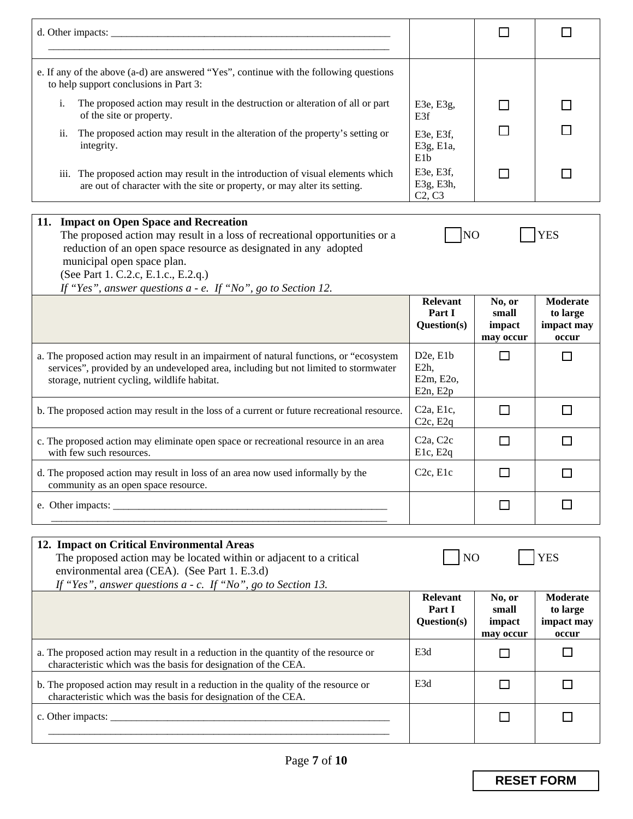| d. Other impacts: $\overline{\phantom{a}}$                                                                                                                                                                                                                                                                                         |                                                                       | $\Box$                                 |                                                    |
|------------------------------------------------------------------------------------------------------------------------------------------------------------------------------------------------------------------------------------------------------------------------------------------------------------------------------------|-----------------------------------------------------------------------|----------------------------------------|----------------------------------------------------|
| e. If any of the above (a-d) are answered "Yes", continue with the following questions<br>to help support conclusions in Part 3:                                                                                                                                                                                                   |                                                                       |                                        |                                                    |
| The proposed action may result in the destruction or alteration of all or part<br>i.<br>of the site or property.                                                                                                                                                                                                                   | E3e, E3g,<br>E3f                                                      | $\mathsf{L}$                           |                                                    |
| The proposed action may result in the alteration of the property's setting or<br>ii.<br>integrity.                                                                                                                                                                                                                                 | E3e, E3f,<br>E3g, E1a,<br>E <sub>1</sub> b                            |                                        |                                                    |
| The proposed action may result in the introduction of visual elements which<br>iii.<br>are out of character with the site or property, or may alter its setting.                                                                                                                                                                   | E3e, E3f,<br>E3g, E3h,<br>C <sub>2</sub> , C <sub>3</sub>             |                                        |                                                    |
| 11. Impact on Open Space and Recreation<br>The proposed action may result in a loss of recreational opportunities or a<br>reduction of an open space resource as designated in any adopted<br>municipal open space plan.<br>(See Part 1. C.2.c, E.1.c., E.2.q.)<br>If "Yes", answer questions $a - e$ . If "No", go to Section 12. | <b>NO</b>                                                             |                                        | <b>YES</b>                                         |
|                                                                                                                                                                                                                                                                                                                                    | <b>Relevant</b><br>Part I<br>Question(s)                              | No, or<br>small<br>impact<br>may occur | Moderate<br>to large<br>impact may<br>occur        |
| a. The proposed action may result in an impairment of natural functions, or "ecosystem"<br>services", provided by an undeveloped area, including but not limited to stormwater<br>storage, nutrient cycling, wildlife habitat.                                                                                                     | D <sub>2</sub> e, E <sub>1b</sub><br>$E2h$ ,<br>E2m, E2o,<br>E2n, E2p | П                                      | $\perp$                                            |
| b. The proposed action may result in the loss of a current or future recreational resource.                                                                                                                                                                                                                                        | C2a, E1c,<br>C2c, E2q                                                 | □                                      | $\Box$                                             |
| c. The proposed action may eliminate open space or recreational resource in an area<br>with few such resources.                                                                                                                                                                                                                    | C <sub>2a</sub> , C <sub>2c</sub><br>E1c, E2q                         | $\Box$                                 | П                                                  |
| d. The proposed action may result in loss of an area now used informally by the<br>community as an open space resource.                                                                                                                                                                                                            | C2c, E1c                                                              | □                                      | $\Box$                                             |
|                                                                                                                                                                                                                                                                                                                                    |                                                                       | ΙI                                     | $\mathsf{L}$                                       |
| 12. Impact on Critical Environmental Areas<br>The proposed action may be located within or adjacent to a critical<br>environmental area (CEA). (See Part 1. E.3.d)<br>If "Yes", answer questions $a - c$ . If "No", go to Section 13.                                                                                              | NO                                                                    |                                        | <b>YES</b>                                         |
|                                                                                                                                                                                                                                                                                                                                    | Relevant<br>Part I<br>Question(s)                                     | No, or<br>small<br>impact<br>may occur | <b>Moderate</b><br>to large<br>impact may<br>occur |
| a. The proposed action may result in a reduction in the quantity of the resource or<br>characteristic which was the basis for designation of the CEA.                                                                                                                                                                              | E3d                                                                   | H                                      | ΙI                                                 |
| b. The proposed action may result in a reduction in the quality of the resource or<br>characteristic which was the basis for designation of the CEA.                                                                                                                                                                               | E3d                                                                   | $\mathsf{L}$                           | П                                                  |
|                                                                                                                                                                                                                                                                                                                                    |                                                                       | ΙI                                     | ΙI                                                 |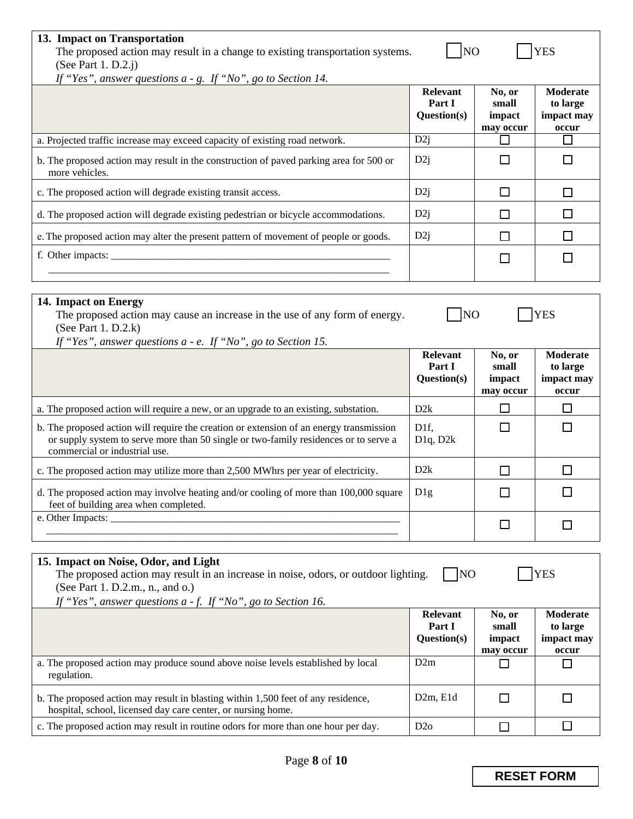| 13. Impact on Transportation<br>The proposed action may result in a change to existing transportation systems.<br>(See Part 1. D.2.j)<br>If "Yes", answer questions $a - g$ . If "No", go to Section 14.                           | N <sub>O</sub>                                        |                                        | <b>YES</b>                                         |
|------------------------------------------------------------------------------------------------------------------------------------------------------------------------------------------------------------------------------------|-------------------------------------------------------|----------------------------------------|----------------------------------------------------|
|                                                                                                                                                                                                                                    | <b>Relevant</b><br>Part I<br>Question(s)              | No, or<br>small<br>impact<br>may occur | <b>Moderate</b><br>to large<br>impact may<br>occur |
| a. Projected traffic increase may exceed capacity of existing road network.                                                                                                                                                        | D2j                                                   | $\Box$                                 | $\Box$                                             |
| b. The proposed action may result in the construction of paved parking area for 500 or<br>more vehicles.                                                                                                                           | D2j                                                   | □                                      | $\Box$                                             |
| c. The proposed action will degrade existing transit access.                                                                                                                                                                       | D2j                                                   | □                                      | □                                                  |
| d. The proposed action will degrade existing pedestrian or bicycle accommodations.                                                                                                                                                 | D2j                                                   | □                                      | □                                                  |
| e. The proposed action may alter the present pattern of movement of people or goods.                                                                                                                                               | D2j                                                   | □                                      | □                                                  |
|                                                                                                                                                                                                                                    |                                                       | $\Box$                                 | П                                                  |
|                                                                                                                                                                                                                                    |                                                       |                                        |                                                    |
| 14. Impact on Energy<br>The proposed action may cause an increase in the use of any form of energy.<br>(See Part 1. $D.2.k$ )<br>If "Yes", answer questions $a - e$ . If "No", go to Section 15.                                   | N <sub>O</sub>                                        |                                        | <b>YES</b>                                         |
|                                                                                                                                                                                                                                    | <b>Relevant</b><br>Part I<br>Question(s)              | No, or<br>small<br>impact<br>may occur | <b>Moderate</b><br>to large<br>impact may<br>occur |
| a. The proposed action will require a new, or an upgrade to an existing, substation.                                                                                                                                               | D2k                                                   | □                                      | $\Box$                                             |
| b. The proposed action will require the creation or extension of an energy transmission<br>or supply system to serve more than 50 single or two-family residences or to serve a<br>commercial or industrial use.                   | D <sub>1f</sub><br>D <sub>1</sub> q, D <sub>2</sub> k | П                                      | $\mathbf{L}$                                       |
| c. The proposed action may utilize more than 2,500 MWhrs per year of electricity.                                                                                                                                                  | D2k                                                   | □                                      | П                                                  |
| d. The proposed action may involve heating and/or cooling of more than 100,000 square<br>feet of building area when completed.                                                                                                     | D1g                                                   | $\Box$                                 | $\Box$                                             |
|                                                                                                                                                                                                                                    |                                                       | □                                      | $\Box$                                             |
|                                                                                                                                                                                                                                    |                                                       |                                        |                                                    |
| 15. Impact on Noise, Odor, and Light<br>The proposed action may result in an increase in noise, odors, or outdoor lighting.<br>(See Part 1. D.2.m., n., and o.)<br>If "Yes", answer questions $a - f$ . If "No", go to Section 16. | $\overline{NQ}$                                       |                                        | <b>YES</b>                                         |
|                                                                                                                                                                                                                                    | <b>Relevant</b>                                       | No, or<br>small                        | <b>Moderate</b><br>to large                        |
|                                                                                                                                                                                                                                    | Part I<br>Question(s)                                 | impact<br>may occur                    | impact may<br>occur                                |
| a. The proposed action may produce sound above noise levels established by local<br>regulation.                                                                                                                                    | D2m                                                   | □                                      | $\Box$                                             |
| b. The proposed action may result in blasting within 1,500 feet of any residence,<br>hospital, school, licensed day care center, or nursing home.                                                                                  | D2m, E1d                                              | $\Box$                                 | $\Box$                                             |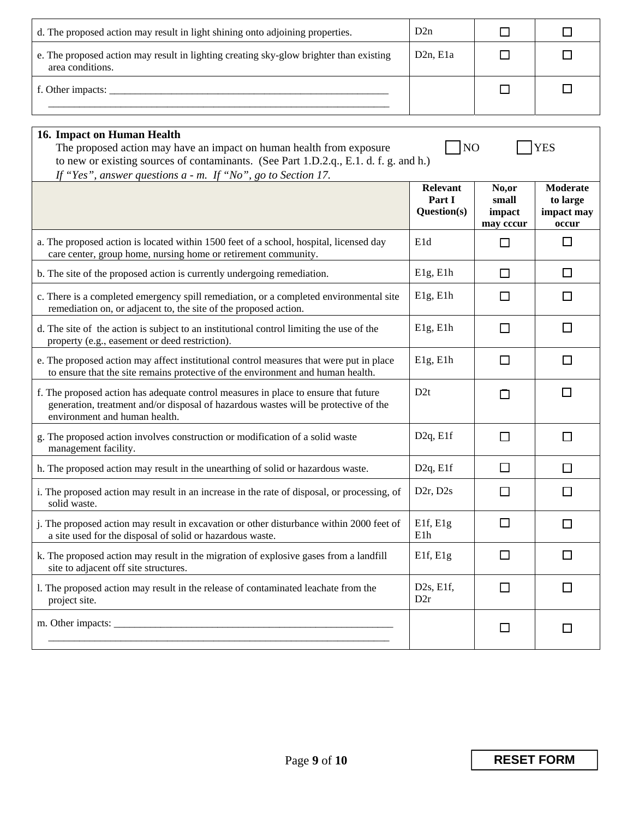| d. The proposed action may result in light shining onto adjoining properties.                              | D2n                     |  |
|------------------------------------------------------------------------------------------------------------|-------------------------|--|
| e. The proposed action may result in lighting creating sky-glow brighter than existing<br>area conditions. | $D2n$ . E <sub>1a</sub> |  |
| f. Other impacts:                                                                                          |                         |  |

| 16. Impact on Human Health<br>NO<br><b>YES</b><br>The proposed action may have an impact on human health from exposure<br>to new or existing sources of contaminants. (See Part 1.D.2.q., E.1. d. f. g. and h.)<br>If "Yes", answer questions $a$ - m. If "No", go to Section 17. |                                          |                                       |                                                    |  |
|-----------------------------------------------------------------------------------------------------------------------------------------------------------------------------------------------------------------------------------------------------------------------------------|------------------------------------------|---------------------------------------|----------------------------------------------------|--|
|                                                                                                                                                                                                                                                                                   | <b>Relevant</b><br>Part I<br>Question(s) | No,or<br>small<br>impact<br>may cccur | <b>Moderate</b><br>to large<br>impact may<br>occur |  |
| a. The proposed action is located within 1500 feet of a school, hospital, licensed day<br>care center, group home, nursing home or retirement community.                                                                                                                          | E1d                                      | П                                     | $\Box$                                             |  |
| b. The site of the proposed action is currently undergoing remediation.                                                                                                                                                                                                           | E1g, E1h                                 | $\Box$                                | П                                                  |  |
| c. There is a completed emergency spill remediation, or a completed environmental site<br>remediation on, or adjacent to, the site of the proposed action.                                                                                                                        | E1g, E1h                                 | П                                     | П                                                  |  |
| d. The site of the action is subject to an institutional control limiting the use of the<br>property (e.g., easement or deed restriction).                                                                                                                                        | E1g, E1h                                 | П                                     | П                                                  |  |
| e. The proposed action may affect institutional control measures that were put in place<br>to ensure that the site remains protective of the environment and human health.                                                                                                        | E1g, E1h                                 | $\Box$                                | П                                                  |  |
| f. The proposed action has adequate control measures in place to ensure that future<br>generation, treatment and/or disposal of hazardous wastes will be protective of the<br>environment and human health.                                                                       | D2t                                      | П                                     | П                                                  |  |
| g. The proposed action involves construction or modification of a solid waste<br>management facility.                                                                                                                                                                             | D2q, E1f                                 | $\Box$                                | $\Box$                                             |  |
| h. The proposed action may result in the unearthing of solid or hazardous waste.                                                                                                                                                                                                  | D2q, E1f                                 | $\Box$                                | П                                                  |  |
| i. The proposed action may result in an increase in the rate of disposal, or processing, of<br>solid waste.                                                                                                                                                                       | D2r, D2s                                 | П                                     | П                                                  |  |
| j. The proposed action may result in excavation or other disturbance within 2000 feet of<br>a site used for the disposal of solid or hazardous waste.                                                                                                                             | E <sub>1f</sub> , E <sub>1g</sub><br>E1h | П                                     | П                                                  |  |
| k. The proposed action may result in the migration of explosive gases from a landfill<br>site to adjacent off site structures.                                                                                                                                                    | E <sub>1f</sub> , E <sub>1g</sub>        | $\Box$                                | $\Box$                                             |  |
| 1. The proposed action may result in the release of contaminated leachate from the<br>project site.                                                                                                                                                                               | D2s, E1f,<br>D2r                         | П                                     | П                                                  |  |
|                                                                                                                                                                                                                                                                                   |                                          | П                                     | П                                                  |  |